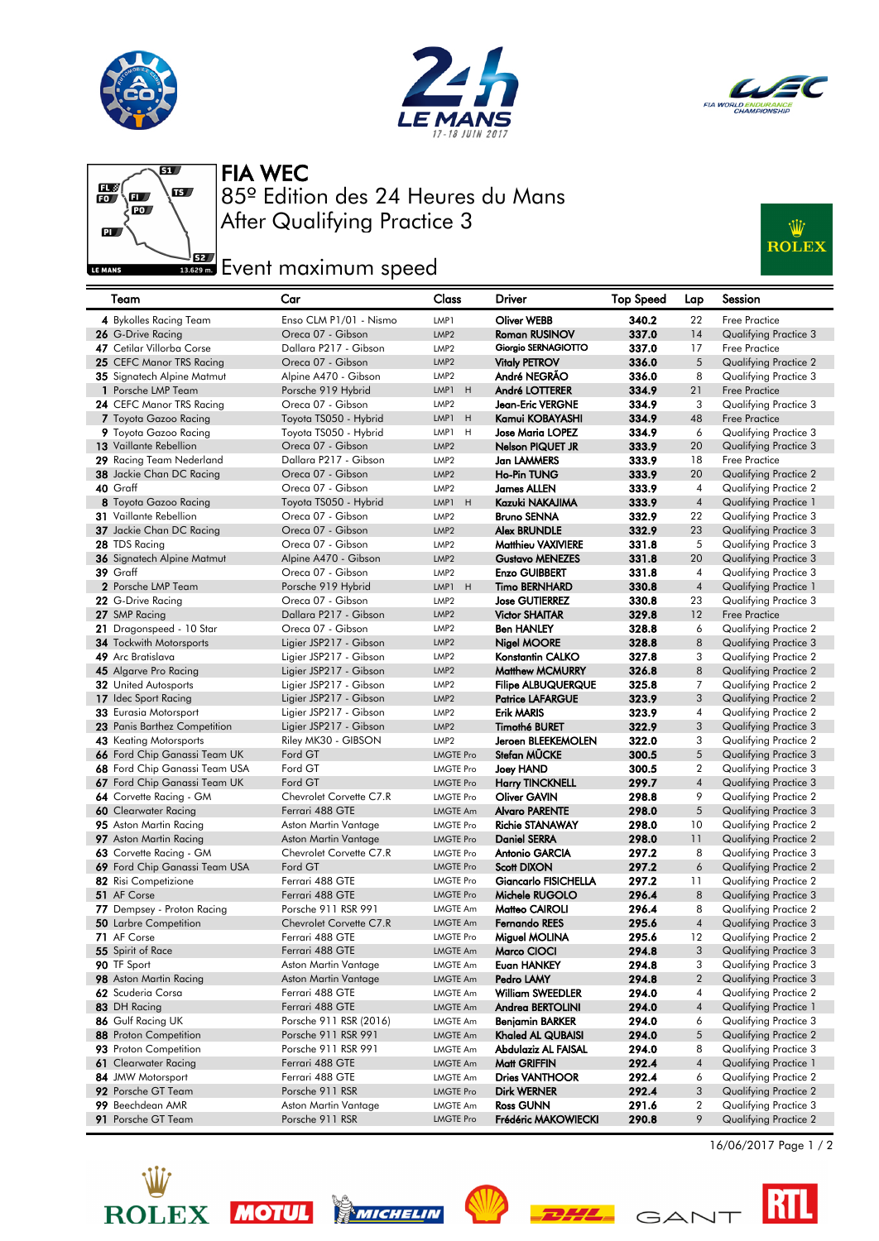





#### FIA WEC



#### After Qualifying Practice 3 85º Edition des 24 Heures du Mans

### Ŵ **ROLEX**

# Event maximum speed

| Team                                        | Car                                            | Class                       | Driver                      | Top Speed      | Lap                      | Session                                        |
|---------------------------------------------|------------------------------------------------|-----------------------------|-----------------------------|----------------|--------------------------|------------------------------------------------|
| 4 Bykolles Racing Team                      | Enso CLM P1/01 - Nismo                         | LMP1                        | <b>Oliver WEBB</b>          | 340.2          | 22                       | Free Practice                                  |
| 26 G-Drive Racing                           | Oreca 07 - Gibson                              | LMP <sub>2</sub>            | <b>Roman RUSINOV</b>        | 337.0          | 14                       | Qualifying Practice 3                          |
| 47 Cetilar Villorba Corse                   | Dallara P217 - Gibson                          | LMP <sub>2</sub>            | Giorgio SERNAGIOTTO         | 337.0          | 17                       | Free Practice                                  |
| 25 CEFC Manor TRS Racing                    | Oreca 07 - Gibson                              | LMP <sub>2</sub>            | <b>Vitaly PETROV</b>        | 336.0          | 5                        | <b>Qualifying Practice 2</b>                   |
| 35 Signatech Alpine Matmut                  | Alpine A470 - Gibson                           | LMP <sub>2</sub>            | André NEGRÃO                | 336.0          | 8                        | Qualifying Practice 3                          |
| 1 Porsche LMP Team                          | Porsche 919 Hybrid                             | H<br>LMP1                   | André LOTTERER              | 334.9          | 21                       | <b>Free Practice</b>                           |
| 24 CEFC Manor TRS Racing                    | Oreca 07 - Gibson                              | LMP <sub>2</sub>            | Jean-Eric VERGNE            | 334.9          | 3                        | Qualifying Practice 3                          |
| 7 Toyota Gazoo Racing                       | Toyota TS050 - Hybrid                          | LMP1<br>H                   | Kamui KOBAYASHI             | 334.9          | 48                       | <b>Free Practice</b>                           |
| 9 Toyota Gazoo Racing                       | Toyota TS050 - Hybrid                          | LMP1<br>H                   | Jose Maria LOPEZ            | 334.9          | 6                        | Qualifying Practice 3                          |
| 13 Vaillante Rebellion                      | Oreca 07 - Gibson                              | LMP <sub>2</sub>            | <b>Nelson PIQUET JR</b>     | 333.9          | 20                       | Qualifying Practice 3                          |
| 29 Racing Team Nederland                    | Dallara P217 - Gibson                          | LMP <sub>2</sub>            | Jan LAMMERS                 | 333.9          | 18                       | Free Practice                                  |
| 38 Jackie Chan DC Racing                    | Oreca 07 - Gibson                              | LMP <sub>2</sub>            | <b>Ho-Pin TUNG</b>          | 333.9          | 20                       | Qualifying Practice 2                          |
| 40 Graff                                    | Oreca 07 - Gibson                              | LMP <sub>2</sub>            | James ALLEN                 | 333.9          | 4                        | Qualifying Practice 2                          |
| 8 Toyota Gazoo Racing                       | Toyota TS050 - Hybrid                          | H<br>LMP1                   | Kazuki NAKAJIMA             | 333.9          | $\overline{4}$           | Qualifying Practice 1                          |
| <b>31</b> Vaillante Rebellion               | Oreca 07 - Gibson                              | LMP <sub>2</sub>            | <b>Bruno SENNA</b>          | 332.9          | 22                       | Qualifying Practice 3                          |
| 37 Jackie Chan DC Racing                    | Oreca 07 - Gibson                              | LMP <sub>2</sub>            | <b>Alex BRUNDLE</b>         | 332.9          | 23                       | Qualifying Practice 3                          |
| 28 TDS Racing                               | Oreca 07 - Gibson                              | LMP <sub>2</sub>            | <b>Matthieu VAXIVIERE</b>   | 331.8          | 5                        | Qualifying Practice 3                          |
| 36 Signatech Alpine Matmut                  | Alpine A470 - Gibson                           | LMP <sub>2</sub>            | <b>Gustavo MENEZES</b>      | 331.8          | 20                       | Qualifying Practice 3                          |
| 39 Graff                                    | Oreca 07 - Gibson                              | LMP <sub>2</sub>            | <b>Enzo GUIBBERT</b>        | 331.8          | 4                        | Qualifying Practice 3                          |
| 2 Porsche LMP Team                          | Porsche 919 Hybrid                             | LMP1<br>H                   | <b>Timo BERNHARD</b>        | 330.8          | $\sqrt{4}$               | Qualifying Practice 1                          |
| 22 G-Drive Racing                           | Oreca 07 - Gibson                              | LMP <sub>2</sub>            | <b>Jose GUTIERREZ</b>       | 330.8          | 23                       | Qualifying Practice 3                          |
| 27 SMP Racing                               | Dallara P217 - Gibson                          | LMP <sub>2</sub>            | <b>Victor SHAITAR</b>       | 329.8          | 12                       | <b>Free Practice</b>                           |
| 21 Dragonspeed - 10 Star                    | Oreca 07 - Gibson                              | LMP <sub>2</sub>            | <b>Ben HANLEY</b>           | 328.8          | 6                        | Qualifying Practice 2                          |
| <b>34 Tockwith Motorsports</b>              | Ligier JSP217 - Gibson                         | LMP <sub>2</sub>            | <b>Nigel MOORE</b>          | 328.8          | 8                        | Qualifying Practice 3                          |
| 49 Arc Bratislava                           | Ligier JSP217 - Gibson                         | LMP <sub>2</sub>            | Konstantin CALKO            | 327.8          | 3                        | Qualifying Practice 2                          |
| 45 Algarve Pro Racing                       | Ligier JSP217 - Gibson                         | LMP <sub>2</sub>            | <b>Matthew MCMURRY</b>      | 326.8          | 8                        | Qualifying Practice 2                          |
| <b>32</b> United Autosports                 | Ligier JSP217 - Gibson                         | LMP <sub>2</sub>            | <b>Filipe ALBUQUERQUE</b>   | 325.8          | 7                        | Qualifying Practice 2                          |
| 17 Idec Sport Racing                        | Ligier JSP217 - Gibson                         | LMP <sub>2</sub>            | <b>Patrice LAFARGUE</b>     | 323.9          | 3                        | <b>Qualifying Practice 2</b>                   |
| <b>33</b> Eurasia Motorsport                | Ligier JSP217 - Gibson                         | LMP <sub>2</sub>            | <b>Erik MARIS</b>           | 323.9          | 4                        | Qualifying Practice 2                          |
| 23 Panis Barthez Competition                | Ligier JSP217 - Gibson                         | LMP <sub>2</sub>            | <b>Timothé BURET</b>        | 322.9          | 3                        | Qualifying Practice 3                          |
| <b>43</b> Keating Motorsports               | Riley MK30 - GIBSON                            | LMP <sub>2</sub>            | Jeroen BLEEKEMOLEN          | 322.0          | 3                        | Qualifying Practice 2                          |
| 66 Ford Chip Ganassi Team UK                | Ford GT                                        | <b>LMGTE Pro</b>            | Stefan MÜCKE                | 300.5          | 5                        | Qualifying Practice 3                          |
| 68 Ford Chip Ganassi Team USA               | Ford GT                                        | <b>LMGTE Pro</b>            | Joey HAND                   | 300.5          | $\overline{2}$           | Qualifying Practice 3                          |
| 67 Ford Chip Ganassi Team UK                | Ford GT                                        | <b>LMGTE Pro</b>            | <b>Harry TINCKNELL</b>      | 299.7          | $\overline{4}$           | Qualifying Practice 3                          |
| 64 Corvette Racing - GM                     | Chevrolet Corvette C7.R                        | <b>LMGTE Pro</b>            | Oliver GAVIN                | 298.8          | 9                        | Qualifying Practice 2                          |
| 60 Clearwater Racing                        | Ferrari 488 GTE                                | <b>LMGTE Am</b>             | <b>Alvaro PARENTE</b>       | 298.0          | 5                        | Qualifying Practice 3                          |
| 95 Aston Martin Racing                      | Aston Martin Vantage                           | <b>LMGTE Pro</b>            | <b>Richie STANAWAY</b>      | 298.0          | 10                       | Qualifying Practice 2                          |
| <b>97</b> Aston Martin Racing               | Aston Martin Vantage                           | <b>LMGTE Pro</b>            | <b>Daniel SERRA</b>         | 298.0          | 11                       | Qualifying Practice 2                          |
| 63 Corvette Racing - GM                     | Chevrolet Corvette C7.R                        | <b>LMGTE Pro</b>            | <b>Antonio GARCIA</b>       | 297.2          | 8                        | Qualifying Practice 3                          |
| 69 Ford Chip Ganassi Team USA               | Ford GT                                        | <b>LMGTE Pro</b>            | Scott DIXON                 | 297.2          | 6                        | <b>Qualifying Practice 2</b>                   |
| 82 Risi Competizione                        | Ferrari 488 GTE                                | <b>LMGTE Pro</b>            | <b>Giancarlo FISICHELLA</b> | 297.2          | 11                       | Qualifying Practice 2                          |
| 51 AF Corse                                 | Ferrari 488 GTE                                | <b>LMGTE Pro</b>            | Michele RUGOLO              | 296.4          | 8                        | Qualifying Practice 3                          |
| 77 Dempsey - Proton Racing                  | Porsche 911 RSR 991<br>Chevrolet Corvette C7.R | LMGTE Am<br><b>LMGTE Am</b> | Matteo CAIROLI              | 296.4          | 8<br>$\overline{4}$      | Qualifying Practice 2                          |
| <b>50</b> Larbre Competition<br>71 AF Corse | Ferrari 488 GTE                                |                             | <b>Fernando REES</b>        | 295.6<br>295.6 | 12                       | Qualifying Practice 3                          |
|                                             |                                                | <b>LMGTE Pro</b>            | Miguel MOLINA               | 294.8          | 3                        | Qualifying Practice 2                          |
| 55 Spirit of Race                           | Ferrari 488 GTE                                | LMGTE Am                    | Marco CIOCI                 |                | 3                        | Qualifying Practice 3                          |
| 90 TF Sport<br>98 Aston Martin Racing       | Aston Martin Vantage<br>Aston Martin Vantage   | LMGTE Am                    | Euan HANKEY<br>Pedro LAMY   | 294.8<br>294.8 | $\overline{2}$           | Qualifying Practice 3<br>Qualifying Practice 3 |
| 62 Scuderia Corsa                           | Ferrari 488 GTE                                | <b>LMGTE Am</b><br>LMGTE Am | William SWEEDLER            | 294.0          | 4                        | Qualifying Practice 2                          |
| 83 DH Racing                                | Ferrari 488 GTE                                | <b>LMGTE Am</b>             | Andrea BERTOLINI            | 294.0          | $\overline{\mathcal{A}}$ | Qualifying Practice 1                          |
| 86 Gulf Racing UK                           | Porsche 911 RSR (2016)                         | LMGTE Am                    | <b>Benjamin BARKER</b>      | 294.0          | 6                        | Qualifying Practice 3                          |
| 88 Proton Competition                       | Porsche 911 RSR 991                            | <b>LMGTE Am</b>             | Khaled AL QUBAISI           | 294.0          | 5                        | Qualifying Practice 2                          |
| 93 Proton Competition                       | Porsche 911 RSR 991                            | LMGTE Am                    | Abdulaziz AL FAISAL         | 294.0          | 8                        | Qualifying Practice 3                          |
| 61 Clearwater Racing                        | Ferrari 488 GTE                                | <b>LMGTE Am</b>             | Matt GRIFFIN                | 292.4          | 4                        | Qualifying Practice 1                          |
| 84 JMW Motorsport                           | Ferrari 488 GTE                                | LMGTE Am                    | <b>Dries VANTHOOR</b>       | 292.4          | 6                        | Qualifying Practice 2                          |
| 92 Porsche GT Team                          | Porsche 911 RSR                                | <b>LMGTE Pro</b>            | <b>Dirk WERNER</b>          | 292.4          | 3                        | Qualifying Practice 2                          |
| 99 Beechdean AMR                            | Aston Martin Vantage                           | LMGTE Am                    | <b>Ross GUNN</b>            | 291.6          | 2                        | Qualifying Practice 3                          |
| 91 Porsche GT Team                          | Porsche 911 RSR                                | <b>LMGTE Pro</b>            | Frédéric MAKOWIECKI         | 290.8          | 9                        | Qualifying Practice 2                          |
|                                             |                                                |                             |                             |                |                          |                                                |

**ROLEX** 









16/06/2017 Page 1 / 2